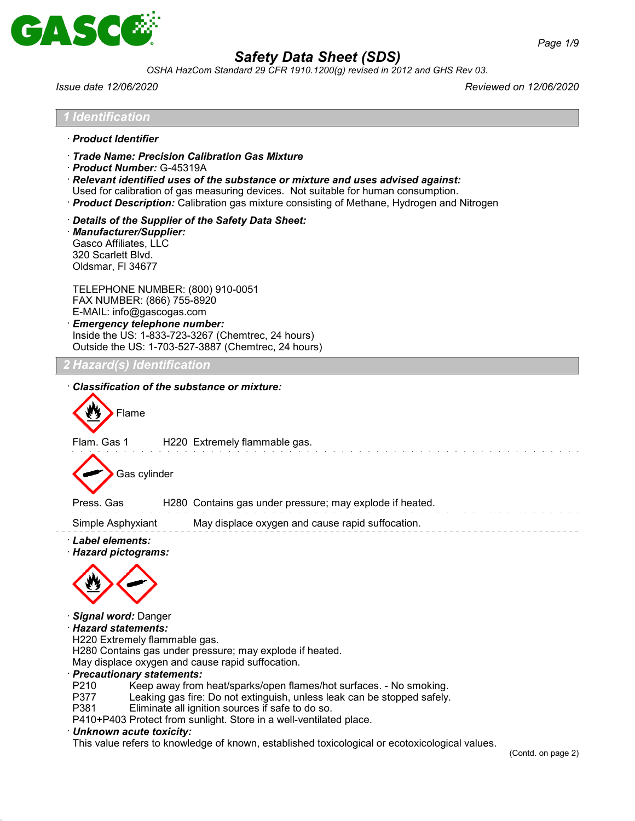

*OSHA HazCom Standard 29 CFR 1910.1200(g) revised in 2012 and GHS Rev 03.*

*Issue date 12/06/2020 Reviewed on 12/06/2020*

| · Product Identifier                                                                                                         |                                                                                                                                                                                                                                                                                                                        |
|------------------------------------------------------------------------------------------------------------------------------|------------------------------------------------------------------------------------------------------------------------------------------------------------------------------------------------------------------------------------------------------------------------------------------------------------------------|
| · Product Number: G-45319A                                                                                                   | Trade Name: Precision Calibration Gas Mixture<br>· Relevant identified uses of the substance or mixture and uses advised against:<br>Used for calibration of gas measuring devices. Not suitable for human consumption.<br>· Product Description: Calibration gas mixture consisting of Methane, Hydrogen and Nitrogen |
| · Manufacturer/Supplier:<br>Gasco Affiliates, LLC<br>320 Scarlett Blvd.<br>Oldsmar, FI 34677                                 | Details of the Supplier of the Safety Data Sheet:                                                                                                                                                                                                                                                                      |
| TELEPHONE NUMBER: (800) 910-0051<br>FAX NUMBER: (866) 755-8920<br>E-MAIL: info@gascogas.com<br>· Emergency telephone number: | Inside the US: 1-833-723-3267 (Chemtrec, 24 hours)<br>Outside the US: 1-703-527-3887 (Chemtrec, 24 hours)                                                                                                                                                                                                              |
| ! Hazard(s) Identification                                                                                                   |                                                                                                                                                                                                                                                                                                                        |
|                                                                                                                              |                                                                                                                                                                                                                                                                                                                        |
| Gas cylinder                                                                                                                 | H220 Extremely flammable gas.                                                                                                                                                                                                                                                                                          |
|                                                                                                                              | H280 Contains gas under pressure; may explode if heated.                                                                                                                                                                                                                                                               |
| Flam. Gas 1<br>Press, Gas<br>Simple Asphyxiant<br>· Label elements:<br>· Hazard pictograms:                                  | May displace oxygen and cause rapid suffocation.                                                                                                                                                                                                                                                                       |

 $ge 2)$ 

 $\bar{z} = \bar{z}$ 

 $\bar{z} = \bar{z}$ 

 $\cdots$   $-$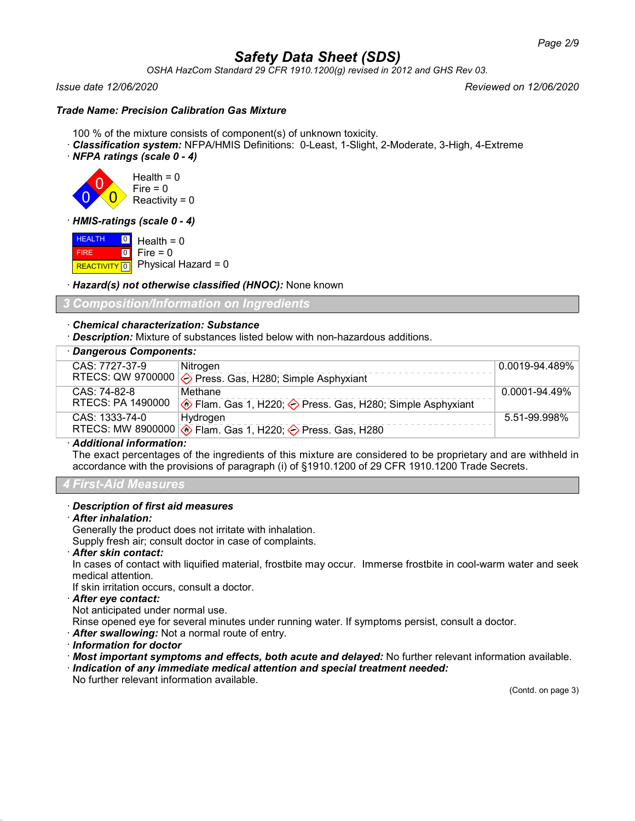*OSHA HazCom Standard 29 CFR 1910.1200(g) revised in 2012 and GHS Rev 03.*

### *Issue date 12/06/2020 Reviewed on 12/06/2020*

# *Trade Name: Precision Calibration Gas Mixture*

- 100 % of the mixture consists of component(s) of unknown toxicity.
- · *Classification system:* NFPA/HMIS Definitions: 0-Least, 1-Slight, 2-Moderate, 3-High, 4-Extreme
- · *NFPA ratings (scale 0 4)*



· *HMIS-ratings (scale 0 - 4)*

**HEALTH**  FIRE **REACTIVITY** 0 0 Health = 0  $\boxed{0}$  $Fire = 0$ Physical Hazard  $= 0$ 

· *Hazard(s) not otherwise classified (HNOC):* None known

*3 Composition/Information on Ingredients*

# · *Chemical characterization: Substance*

· *Description:* Mixture of substances listed below with non-hazardous additions.

# · *Dangerous Components:*

| <u>sangerous components.</u> |                                                                      |                |  |
|------------------------------|----------------------------------------------------------------------|----------------|--|
| CAS: 7727-37-9               | Nitrogen                                                             | 0.0019-94.489% |  |
|                              | RTECS: QW 9700000 $\diamondsuit$ Press. Gas, H280; Simple Asphyxiant |                |  |
| CAS: 74-82-8                 | Methane                                                              | 0.0001-94.49%  |  |
| RTECS: PA 1490000            | Ke Flam. Gas 1, H220;  se Press. Gas, H280; Simple Asphyxiant        |                |  |
| CAS: 1333-74-0               | Hydrogen                                                             | 5.51-99.998%   |  |
|                              | RTECS: MW 8900000 <b>♦ Flam. Gas 1, H220; ♦ Press. Gas, H280</b>     |                |  |

#### · *Additional information:*

The exact percentages of the ingredients of this mixture are considered to be proprietary and are withheld in accordance with the provisions of paragraph (i) of §1910.1200 of 29 CFR 1910.1200 Trade Secrets.

#### *4 First-Aid Measures*

#### · *Description of first aid measures*

#### · *After inhalation:*

Generally the product does not irritate with inhalation.

Supply fresh air; consult doctor in case of complaints.

· *After skin contact:*

In cases of contact with liquified material, frostbite may occur. Immerse frostbite in cool-warm water and seek medical attention.

If skin irritation occurs, consult a doctor.

#### · *After eye contact:*

Not anticipated under normal use.

Rinse opened eye for several minutes under running water. If symptoms persist, consult a doctor.

- · *After swallowing:* Not a normal route of entry.
- · *Information for doctor*
- · *Most important symptoms and effects, both acute and delayed:* No further relevant information available.
- · *Indication of any immediate medical attention and special treatment needed:*

No further relevant information available.

(Contd. on page 3)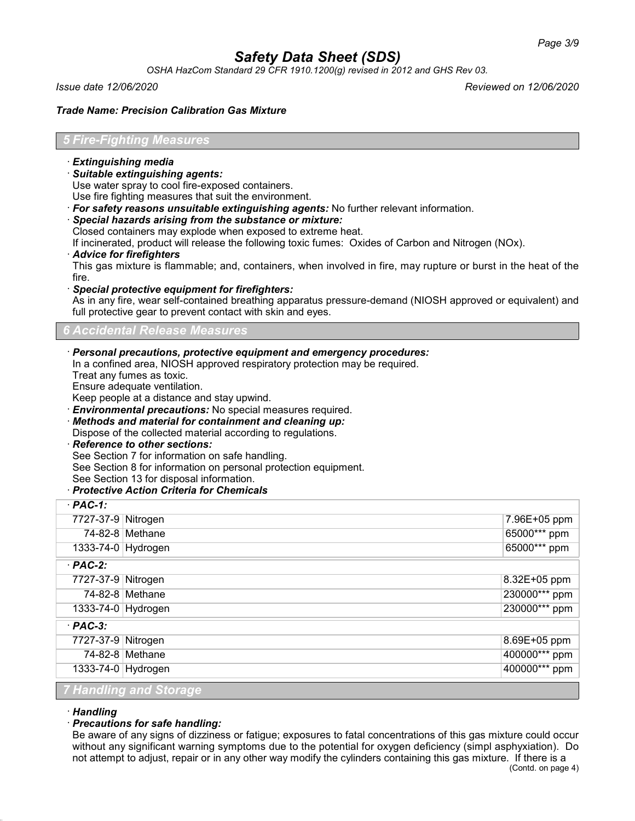*OSHA HazCom Standard 29 CFR 1910.1200(g) revised in 2012 and GHS Rev 03.*

*Issue date 12/06/2020 Reviewed on 12/06/2020*

#### *Trade Name: Precision Calibration Gas Mixture*

#### *5 Fire-Fighting Measures*

- · *Extinguishing media*
- · *Suitable extinguishing agents:*

Use water spray to cool fire-exposed containers.

Use fire fighting measures that suit the environment.

- · *For safety reasons unsuitable extinguishing agents:* No further relevant information.
- · *Special hazards arising from the substance or mixture:*
- Closed containers may explode when exposed to extreme heat.

If incinerated, product will release the following toxic fumes: Oxides of Carbon and Nitrogen (NOx).

#### · *Advice for firefighters*

This gas mixture is flammable; and, containers, when involved in fire, may rupture or burst in the heat of the fire.

· *Special protective equipment for firefighters:*

As in any fire, wear self-contained breathing apparatus pressure-demand (NIOSH approved or equivalent) and full protective gear to prevent contact with skin and eyes.

#### *6 Accidental Release Measures*

#### · *Personal precautions, protective equipment and emergency procedures:*

In a confined area, NIOSH approved respiratory protection may be required.

Treat any fumes as toxic.

Ensure adequate ventilation.

Keep people at a distance and stay upwind.

· *Environmental precautions:* No special measures required.

· *Methods and material for containment and cleaning up:*

Dispose of the collected material according to regulations.

#### · *Reference to other sections:*

See Section 7 for information on safe handling.

See Section 8 for information on personal protection equipment.

See Section 13 for disposal information.

#### · *Protective Action Criteria for Chemicals*

| $PAC-1$ :                     |                   |               |  |  |  |
|-------------------------------|-------------------|---------------|--|--|--|
| 7727-37-9 Nitrogen            |                   | 7.96E+05 ppm  |  |  |  |
|                               | 74-82-8 Methane   | 65000*** ppm  |  |  |  |
| 1333-74-0 Hydrogen            |                   | 65000*** ppm  |  |  |  |
| $·$ PAC-2:                    |                   |               |  |  |  |
| 7727-37-9 Nitrogen            |                   | 8.32E+05 ppm  |  |  |  |
|                               | $74-82-8$ Methane | 230000*** ppm |  |  |  |
| 1333-74-0 Hydrogen            |                   | 230000*** ppm |  |  |  |
| $·$ PAC-3:                    |                   |               |  |  |  |
| 7727-37-9 Nitrogen            |                   | 8.69E+05 ppm  |  |  |  |
|                               | $74-82-8$ Methane | 400000*** ppm |  |  |  |
| 1333-74-0 Hydrogen            |                   | 400000*** ppm |  |  |  |
| <b>7 Handling and Storage</b> |                   |               |  |  |  |

#### · *Handling*

# · *Precautions for safe handling:*

Be aware of any signs of dizziness or fatigue; exposures to fatal concentrations of this gas mixture could occur without any significant warning symptoms due to the potential for oxygen deficiency (simpl asphyxiation). Do not attempt to adjust, repair or in any other way modify the cylinders containing this gas mixture. If there is a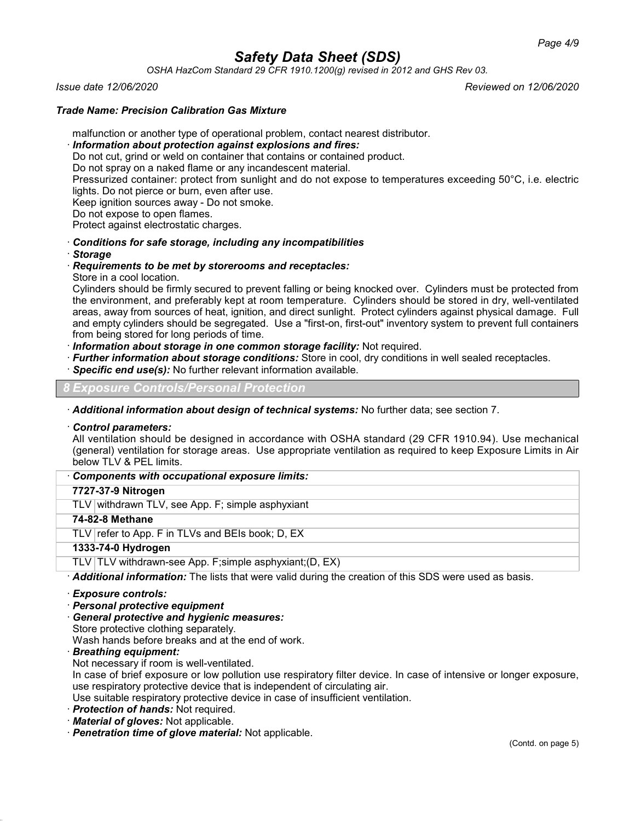*OSHA HazCom Standard 29 CFR 1910.1200(g) revised in 2012 and GHS Rev 03.*

*Issue date 12/06/2020 Reviewed on 12/06/2020*

# *Trade Name: Precision Calibration Gas Mixture*

malfunction or another type of operational problem, contact nearest distributor.

### · *Information about protection against explosions and fires:*

Do not cut, grind or weld on container that contains or contained product.

Do not spray on a naked flame or any incandescent material.

Pressurized container: protect from sunlight and do not expose to temperatures exceeding 50°C, i.e. electric lights. Do not pierce or burn, even after use.

Keep ignition sources away - Do not smoke.

Do not expose to open flames.

Protect against electrostatic charges.

· *Conditions for safe storage, including any incompatibilities*

· *Storage*

# · *Requirements to be met by storerooms and receptacles:*

Store in a cool location.

Cylinders should be firmly secured to prevent falling or being knocked over. Cylinders must be protected from the environment, and preferably kept at room temperature. Cylinders should be stored in dry, well-ventilated areas, away from sources of heat, ignition, and direct sunlight. Protect cylinders against physical damage. Full and empty cylinders should be segregated. Use a "first-on, first-out" inventory system to prevent full containers from being stored for long periods of time.

· *Information about storage in one common storage facility:* Not required.

- · *Further information about storage conditions:* Store in cool, dry conditions in well sealed receptacles.
- **Specific end use(s):** No further relevant information available.

*8 Exposure Controls/Personal Protection*

· *Additional information about design of technical systems:* No further data; see section 7.

#### · *Control parameters:*

All ventilation should be designed in accordance with OSHA standard (29 CFR 1910.94). Use mechanical (general) ventilation for storage areas. Use appropriate ventilation as required to keep Exposure Limits in Air below TLV & PEL limits.

· *Components with occupational exposure limits:*

# **7727-37-9 Nitrogen**

TLV withdrawn TLV, see App. F; simple asphyxiant

# **74-82-8 Methane**

TLV refer to App. F in TLVs and BEIs book; D, EX

# **1333-74-0 Hydrogen**

TLV TLV withdrawn-see App. F;simple asphyxiant;(D, EX)

· *Additional information:* The lists that were valid during the creation of this SDS were used as basis.

#### · *Exposure controls:*

- · *Personal protective equipment*
- · *General protective and hygienic measures:*

Store protective clothing separately.

Wash hands before breaks and at the end of work.

· *Breathing equipment:*

Not necessary if room is well-ventilated.

In case of brief exposure or low pollution use respiratory filter device. In case of intensive or longer exposure, use respiratory protective device that is independent of circulating air.

Use suitable respiratory protective device in case of insufficient ventilation.

- · *Protection of hands:* Not required.
- · *Material of gloves:* Not applicable.
- · *Penetration time of glove material:* Not applicable.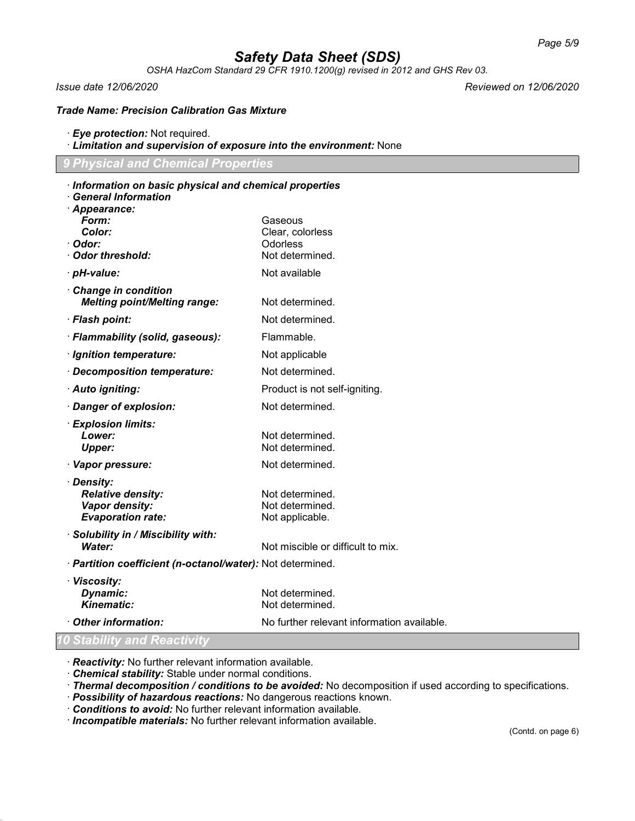*OSHA HazCom Standard 29 CFR 1910.1200(g) revised in 2012 and GHS Rev 03.*

*Issue date 12/06/2020 Reviewed on 12/06/2020*

*Trade Name: Precision Calibration Gas Mixture*

- · *Eye protection:* Not required.
- · *Limitation and supervision of exposure into the environment:* None

· *Information on basic physical and chemical properties*

*9 Physical and Chemical Properties*

| <b>General Information</b>                                 |                                            |
|------------------------------------------------------------|--------------------------------------------|
| Appearance:<br>Form:                                       | Gaseous                                    |
| Color:                                                     | Clear, colorless                           |
| · Odor:                                                    | Odorless                                   |
| <b>Odor threshold:</b>                                     | Not determined.                            |
| · pH-value:                                                | Not available                              |
| Change in condition<br><b>Melting point/Melting range:</b> | Not determined.                            |
| · Flash point:                                             | Not determined.                            |
| · Flammability (solid, gaseous):                           | Flammable.                                 |
| · Ignition temperature:                                    | Not applicable                             |
| Decomposition temperature:                                 | Not determined.                            |
| · Auto igniting:                                           | Product is not self-igniting.              |
| Danger of explosion:                                       | Not determined.                            |
| · Explosion limits:                                        |                                            |
| Lower:                                                     | Not determined.                            |
| <b>Upper:</b>                                              | Not determined.                            |
| · Vapor pressure:                                          | Not determined.                            |
| · Density:                                                 |                                            |
| <b>Relative density:</b><br>Vapor density:                 | Not determined.<br>Not determined.         |
| <b>Evaporation rate:</b>                                   | Not applicable.                            |
| · Solubility in / Miscibility with:                        |                                            |
| Water:                                                     | Not miscible or difficult to mix.          |
| · Partition coefficient (n-octanol/water): Not determined. |                                            |
| · Viscosity:                                               |                                            |
| Dynamic:                                                   | Not determined.                            |
| <b>Kinematic:</b>                                          | Not determined.                            |
| Other information:                                         | No further relevant information available. |
| 10 Stability and Reactivity                                |                                            |

· *Reactivity:* No further relevant information available.

- · *Chemical stability:* Stable under normal conditions.
- · *Thermal decomposition / conditions to be avoided:* No decomposition if used according to specifications.
- · *Possibility of hazardous reactions:* No dangerous reactions known.
- · *Conditions to avoid:* No further relevant information available.

· *Incompatible materials:* No further relevant information available.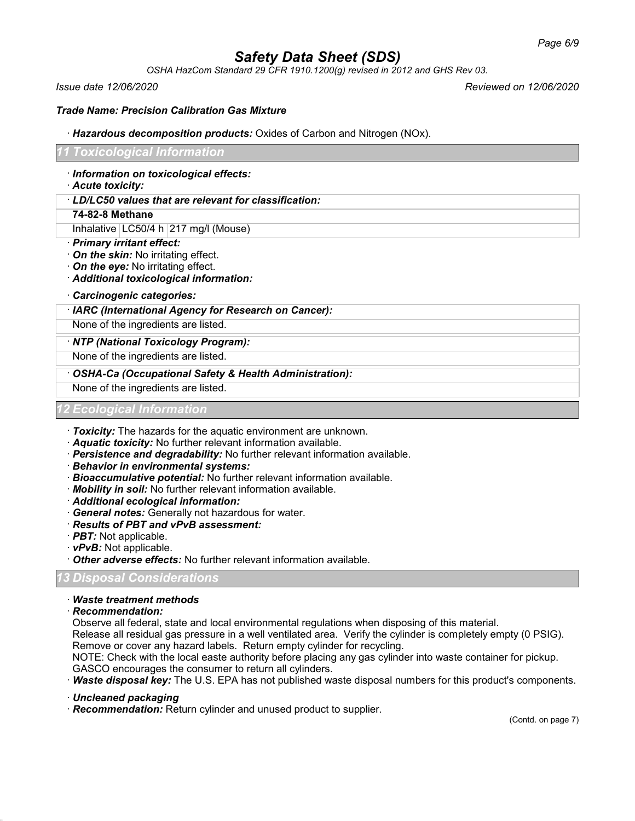*OSHA HazCom Standard 29 CFR 1910.1200(g) revised in 2012 and GHS Rev 03.*

*Issue date 12/06/2020 Reviewed on 12/06/2020*

*Trade Name: Precision Calibration Gas Mixture*

· *Hazardous decomposition products:* Oxides of Carbon and Nitrogen (NOx).

# *11 Toxicological Information*

- · *Information on toxicological effects:*
- · *Acute toxicity:*
- · *LD/LC50 values that are relevant for classification:*

# **74-82-8 Methane**

Inhalative | LC50/4 h | 217 mg/l (Mouse)

- · *Primary irritant effect:*
- · *On the skin:* No irritating effect.
- · *On the eye:* No irritating effect.
- · *Additional toxicological information:*
- · *Carcinogenic categories:*

# · *IARC (International Agency for Research on Cancer):*

None of the ingredients are listed.

# · *NTP (National Toxicology Program):*

None of the ingredients are listed.

# · *OSHA-Ca (Occupational Safety & Health Administration):*

None of the ingredients are listed.

# *12 Ecological Information*

- · *Toxicity:* The hazards for the aquatic environment are unknown.
- · *Aquatic toxicity:* No further relevant information available.
- · *Persistence and degradability:* No further relevant information available.
- · *Behavior in environmental systems:*
- · *Bioaccumulative potential:* No further relevant information available.
- · *Mobility in soil:* No further relevant information available.
- · *Additional ecological information:*
- · *General notes:* Generally not hazardous for water.
- · *Results of PBT and vPvB assessment:*
- · *PBT:* Not applicable.
- · *vPvB:* Not applicable.
- · *Other adverse effects:* No further relevant information available.

# *13 Disposal Considerations*

# · *Waste treatment methods*

· *Recommendation:*

Observe all federal, state and local environmental regulations when disposing of this material.

Release all residual gas pressure in a well ventilated area. Verify the cylinder is completely empty (0 PSIG). Remove or cover any hazard labels. Return empty cylinder for recycling.

NOTE: Check with the local easte authority before placing any gas cylinder into waste container for pickup. GASCO encourages the consumer to return all cylinders.

· *Waste disposal key:* The U.S. EPA has not published waste disposal numbers for this product's components.

· *Uncleaned packaging*

· *Recommendation:* Return cylinder and unused product to supplier.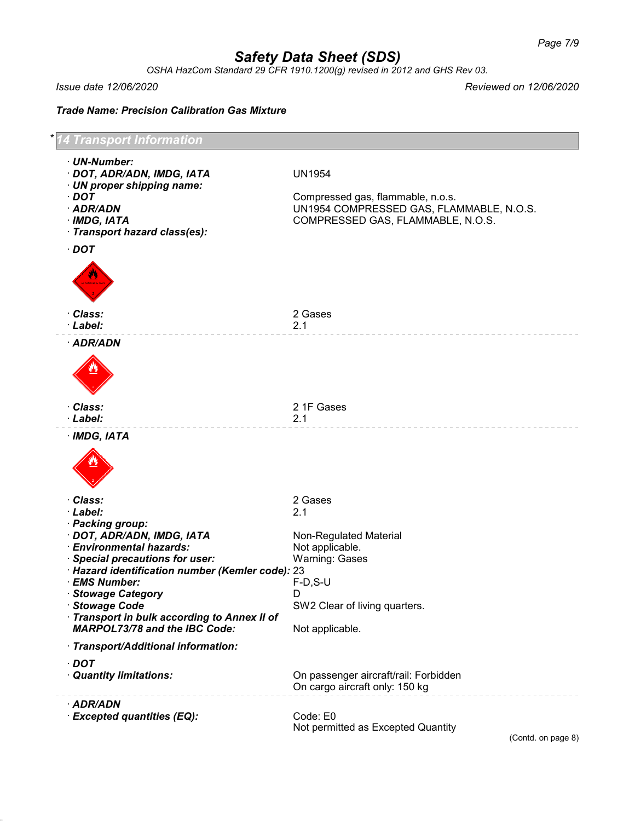*OSHA HazCom Standard 29 CFR 1910.1200(g) revised in 2012 and GHS Rev 03.*

*Issue date 12/06/2020 Reviewed on 12/06/2020*

*Trade Name: Precision Calibration Gas Mixture*



(Contd. on page 8)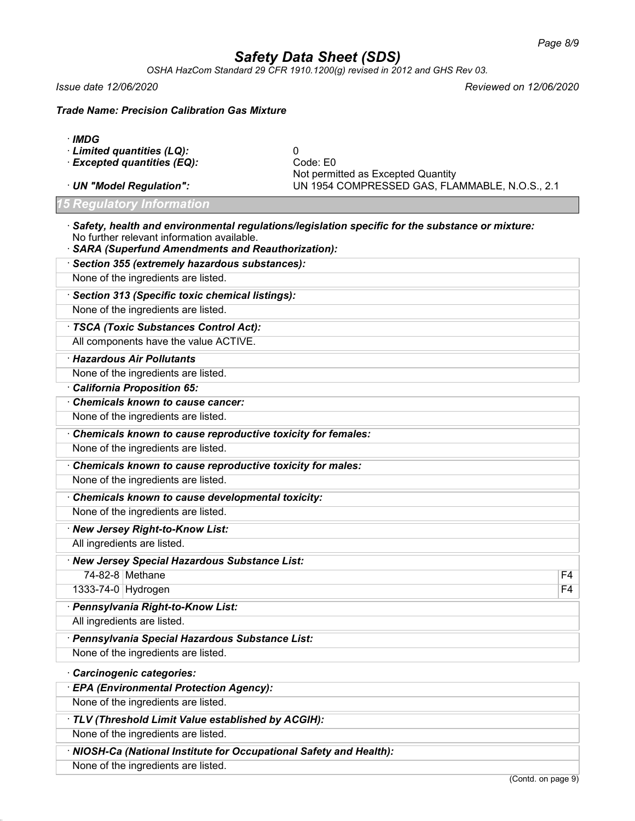*OSHA HazCom Standard 29 CFR 1910.1200(g) revised in 2012 and GHS Rev 03.*

*Issue date 12/06/2020 Reviewed on 12/06/2020*

*Trade Name: Precision Calibration Gas Mixture*

- · *IMDG*
- · *Limited quantities (LQ):* 0
- · *Excepted quantities (EQ):*
- 

Not permitted as Excepted Quantity · *UN "Model Regulation":* UN 1954 COMPRESSED GAS, FLAMMABLE, N.O.S., 2.1

# *15 Regulatory Information*

· *Safety, health and environmental regulations/legislation specific for the substance or mixture:* No further relevant information available.

| <b>SARA (Superfund Amendments and Reauthorization):</b>     |                |
|-------------------------------------------------------------|----------------|
| · Section 355 (extremely hazardous substances):             |                |
| None of the ingredients are listed.                         |                |
| · Section 313 (Specific toxic chemical listings):           |                |
| None of the ingredients are listed.                         |                |
| · TSCA (Toxic Substances Control Act):                      |                |
| All components have the value ACTIVE.                       |                |
| · Hazardous Air Pollutants                                  |                |
| None of the ingredients are listed.                         |                |
| California Proposition 65:                                  |                |
| Chemicals known to cause cancer:                            |                |
| None of the ingredients are listed.                         |                |
| Chemicals known to cause reproductive toxicity for females: |                |
| None of the ingredients are listed.                         |                |
| Chemicals known to cause reproductive toxicity for males:   |                |
| None of the ingredients are listed.                         |                |
| Chemicals known to cause developmental toxicity:            |                |
| None of the ingredients are listed.                         |                |
| · New Jersey Right-to-Know List:                            |                |
| All ingredients are listed.                                 |                |
| · New Jersey Special Hazardous Substance List:              |                |
| 74-82-8 Methane                                             | F4             |
| 1333-74-0 Hydrogen                                          | F <sub>4</sub> |
| · Pennsylvania Right-to-Know List:                          |                |
| All ingredients are listed.                                 |                |
| · Pennsylvania Special Hazardous Substance List:            |                |
| None of the ingredients are listed.                         |                |
| Carcinogenic categories:                                    |                |
| · EPA (Environmental Protection Agency):                    |                |
| None of the ingredients are listed.                         |                |
| · TLV (Threshold Limit Value established by ACGIH):         |                |
|                                                             |                |

None of the ingredients are listed.

· *NIOSH-Ca (National Institute for Occupational Safety and Health):* None of the ingredients are listed.

(Contd. on page 9)